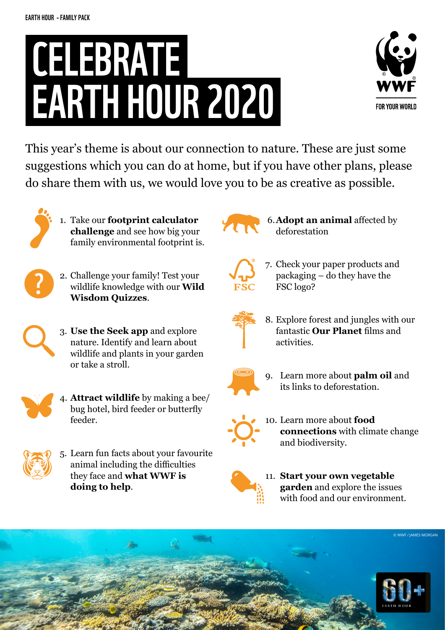## CELEBRATE EARTH HOUR 2020



This year's theme is about our connection to nature. These are just some suggestions which you can do at home, but if you have other plans, please do share them with us, we would love you to be as creative as possible.



1. Take our **[footprint calculator](https://footprint.wwf.org.uk/#/)  [challenge](https://footprint.wwf.org.uk/#/)** and see how big your family environmental footprint is.



- 2. Challenge your family! Test your wildlife knowledge with our **[Wild](https://www.wwf.org.uk/get-involved/schools/wild-wisdom-quiz)  [Wisdom Quizzes](https://www.wwf.org.uk/get-involved/schools/wild-wisdom-quiz)**.
- - 3. **[Use the Seek app](https://www.wwf.org.uk/discover-nature-seek-app)** and explore nature. Identify and learn about wildlife and plants in your garden or take a stroll.



4. **[Attract wildlife](https://www.wwf.org.uk/get-involved/schools/activities)** by making a bee/ bug hotel, bird feeder or butterfly feeder.



5. Learn fun facts about your favourite animal including the difficulties they face and **[what WWF is](https://www.wwf.org.uk/learn)  [doing to help](https://www.wwf.org.uk/learn)**.



 6.**[Adopt an animal](https://support.wwf.org.uk/adopt-an-animal)** affected by deforestation



7. Check your paper products and packaging – do they have the FSC logo?



8. Explore forest and jungles with our fantastic **[Our Planet](http://awsassets.panda.org/downloads/primary_ourforests_jungles.pdf)** films and activities.



9. Learn more about **[palm oil](https://www.wwf.org.uk/updates/8-things-know-about-palm-oil)** and its links to deforestation.



10. Learn more about **[food](https://www.wwf.org.uk/get-involved/schools/resources/food-resources)  [connections](https://www.wwf.org.uk/get-involved/schools/resources/food-resources)** with climate change and biodiversity.



11. **[Start your own vegetable](https://www.wwf.org.uk/get-involved/schools/resources/food-resources)  [garden](https://www.wwf.org.uk/get-involved/schools/resources/food-resources)** and explore the issues with food and our environment.